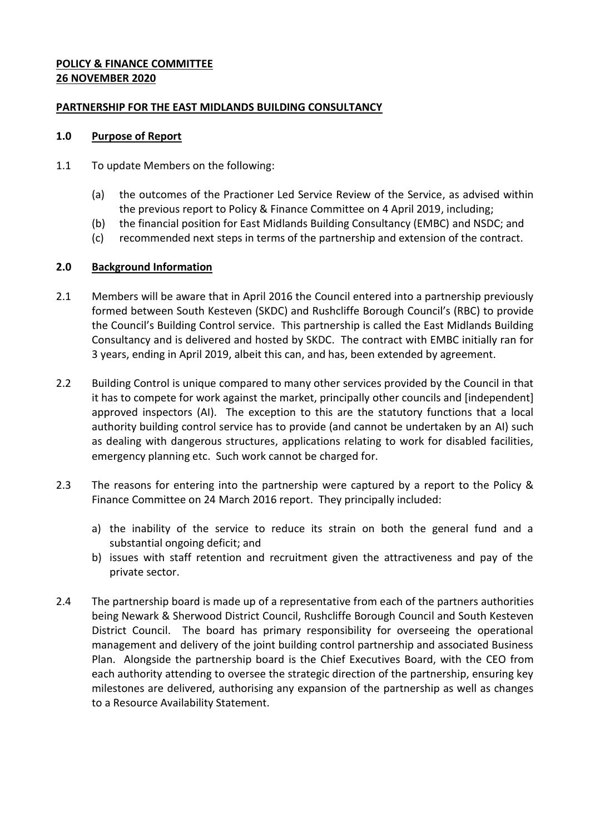### **POLICY & FINANCE COMMITTEE 26 NOVEMBER 2020**

### **PARTNERSHIP FOR THE EAST MIDLANDS BUILDING CONSULTANCY**

#### **1.0 Purpose of Report**

- 1.1 To update Members on the following:
	- (a) the outcomes of the Practioner Led Service Review of the Service, as advised within the previous report to Policy & Finance Committee on 4 April 2019, including;
	- (b) the financial position for East Midlands Building Consultancy (EMBC) and NSDC; and
	- (c) recommended next steps in terms of the partnership and extension of the contract.

### **2.0 Background Information**

- 2.1 Members will be aware that in April 2016 the Council entered into a partnership previously formed between South Kesteven (SKDC) and Rushcliffe Borough Council's (RBC) to provide the Council's Building Control service. This partnership is called the East Midlands Building Consultancy and is delivered and hosted by SKDC. The contract with EMBC initially ran for 3 years, ending in April 2019, albeit this can, and has, been extended by agreement.
- 2.2 Building Control is unique compared to many other services provided by the Council in that it has to compete for work against the market, principally other councils and [independent] approved inspectors (AI). The exception to this are the statutory functions that a local authority building control service has to provide (and cannot be undertaken by an AI) such as dealing with dangerous structures, applications relating to work for disabled facilities, emergency planning etc. Such work cannot be charged for.
- 2.3 The reasons for entering into the partnership were captured by a report to the Policy & Finance Committee on 24 March 2016 report. They principally included:
	- a) the inability of the service to reduce its strain on both the general fund and a substantial ongoing deficit; and
	- b) issues with staff retention and recruitment given the attractiveness and pay of the private sector.
- 2.4 The partnership board is made up of a representative from each of the partners authorities being Newark & Sherwood District Council, Rushcliffe Borough Council and South Kesteven District Council. The board has primary responsibility for overseeing the operational management and delivery of the joint building control partnership and associated Business Plan. Alongside the partnership board is the Chief Executives Board, with the CEO from each authority attending to oversee the strategic direction of the partnership, ensuring key milestones are delivered, authorising any expansion of the partnership as well as changes to a Resource Availability Statement.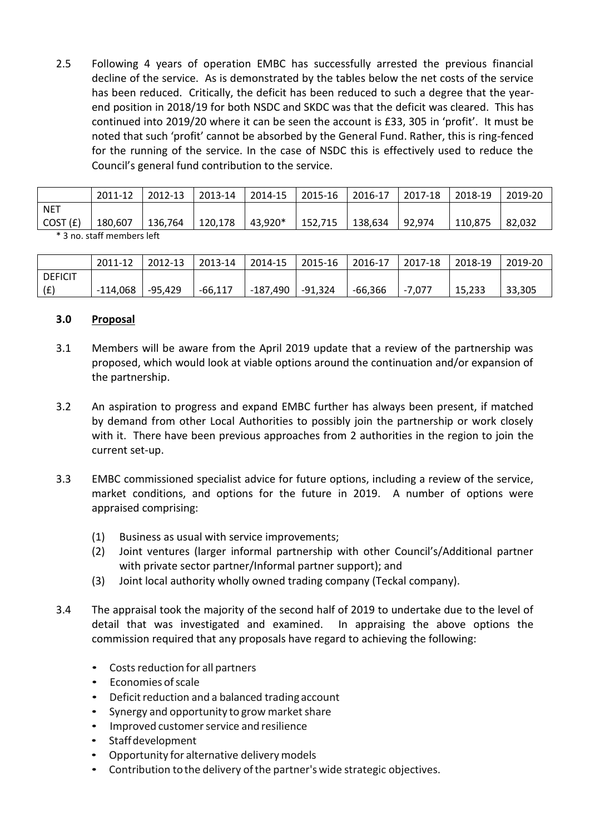2.5 Following 4 years of operation EMBC has successfully arrested the previous financial decline of the service. As is demonstrated by the tables below the net costs of the service has been reduced. Critically, the deficit has been reduced to such a degree that the yearend position in 2018/19 for both NSDC and SKDC was that the deficit was cleared. This has continued into 2019/20 where it can be seen the account is £33, 305 in 'profit'. It must be noted that such 'profit' cannot be absorbed by the General Fund. Rather, this is ring-fenced for the running of the service. In the case of NSDC this is effectively used to reduce the Council's general fund contribution to the service.

|                           | 2011-12 | 2012-13 | 2013-14 | 2014-15 | 2015-16 | 2016-17 | 2017-18 | 2018-19 | 2019-20 |
|---------------------------|---------|---------|---------|---------|---------|---------|---------|---------|---------|
| NET                       |         |         |         |         |         |         |         |         |         |
| COST (£)                  | 180,607 | 136,764 | 120.178 | 43,920* | 152,715 | 138,634 | 92,974  | 110.875 | 82.032  |
| * 3 no staff mamhars laft |         |         |         |         |         |         |         |         |         |

3 no. staff members left

|                | 2011-12  | 2012-13 | 2013-14   | 2014-15  | $12015 - 16$ | 2016-17 | $12017 - 18$ | 2018-19 | 2019-20 |
|----------------|----------|---------|-----------|----------|--------------|---------|--------------|---------|---------|
| <b>DEFICIT</b> |          |         |           |          |              |         |              |         |         |
| (E)            | -114,068 | -95,429 | $-66.117$ | -187.490 | -91.324      | -66,366 | -7.077       | 15.233  | 33,305  |

#### **3.0 Proposal**

- 3.1 Members will be aware from the April 2019 update that a review of the partnership was proposed, which would look at viable options around the continuation and/or expansion of the partnership.
- 3.2 An aspiration to progress and expand EMBC further has always been present, if matched by demand from other Local Authorities to possibly join the partnership or work closely with it. There have been previous approaches from 2 authorities in the region to join the current set-up.
- 3.3 EMBC commissioned specialist advice for future options, including a review of the service, market conditions, and options for the future in 2019. A number of options were appraised comprising:
	- (1) Business as usual with service improvements;
	- (2) Joint ventures (larger informal partnership with other Council's/Additional partner with private sector partner/Informal partner support); and
	- (3) Joint local authority wholly owned trading company (Teckal company).
- 3.4 The appraisal took the majority of the second half of 2019 to undertake due to the level of detail that was investigated and examined. In appraising the above options the commission required that any proposals have regard to achieving the following:
	- Costs reduction for all partners
	- Economies ofscale
	- Deficit reduction and a balanced trading account
	- Synergy and opportunity to grow market share
	- Improved customer service and resilience
	- Staffdevelopment
	- Opportunity for alternative delivery models
	- Contribution to the delivery of the partner's wide strategic objectives.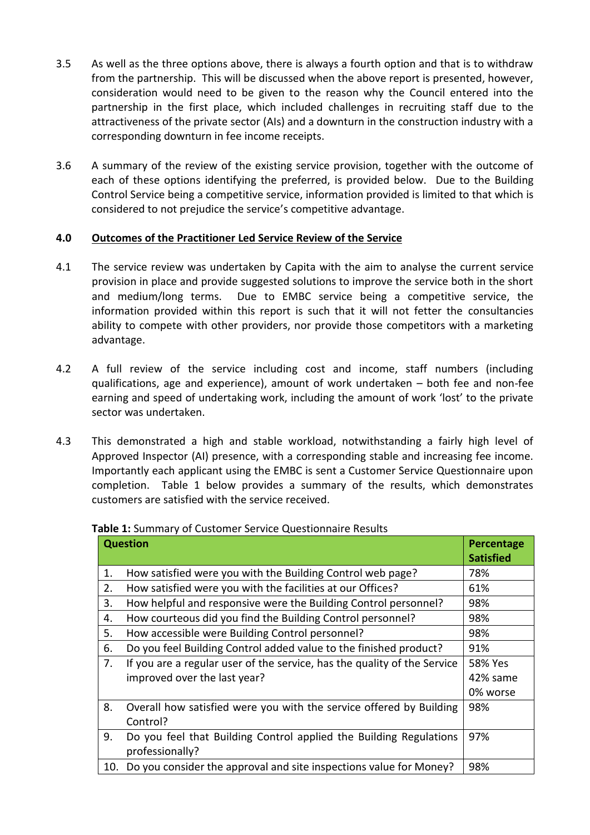- 3.5 As well as the three options above, there is always a fourth option and that is to withdraw from the partnership. This will be discussed when the above report is presented, however, consideration would need to be given to the reason why the Council entered into the partnership in the first place, which included challenges in recruiting staff due to the attractiveness of the private sector (AIs) and a downturn in the construction industry with a corresponding downturn in fee income receipts.
- 3.6 A summary of the review of the existing service provision, together with the outcome of each of these options identifying the preferred, is provided below. Due to the Building Control Service being a competitive service, information provided is limited to that which is considered to not prejudice the service's competitive advantage.

# **4.0 Outcomes of the Practitioner Led Service Review of the Service**

- 4.1 The service review was undertaken by Capita with the aim to analyse the current service provision in place and provide suggested solutions to improve the service both in the short and medium/long terms. Due to EMBC service being a competitive service, the information provided within this report is such that it will not fetter the consultancies ability to compete with other providers, nor provide those competitors with a marketing advantage.
- 4.2 A full review of the service including cost and income, staff numbers (including qualifications, age and experience), amount of work undertaken – both fee and non-fee earning and speed of undertaking work, including the amount of work 'lost' to the private sector was undertaken.
- 4.3 This demonstrated a high and stable workload, notwithstanding a fairly high level of Approved Inspector (AI) presence, with a corresponding stable and increasing fee income. Importantly each applicant using the EMBC is sent a Customer Service Questionnaire upon completion. Table 1 below provides a summary of the results, which demonstrates customers are satisfied with the service received.

| <b>Question</b> | Percentage<br><b>Satisfied</b>                                           |          |
|-----------------|--------------------------------------------------------------------------|----------|
| 1.              | How satisfied were you with the Building Control web page?               | 78%      |
| 2.              | How satisfied were you with the facilities at our Offices?               | 61%      |
| 3.              | How helpful and responsive were the Building Control personnel?          | 98%      |
| 4.              | How courteous did you find the Building Control personnel?               | 98%      |
| 5.              | How accessible were Building Control personnel?                          | 98%      |
| 6.              | Do you feel Building Control added value to the finished product?        | 91%      |
| 7.              | If you are a regular user of the service, has the quality of the Service | 58% Yes  |
|                 | improved over the last year?                                             | 42% same |
|                 |                                                                          | 0% worse |
| 8.              | Overall how satisfied were you with the service offered by Building      | 98%      |
|                 | Control?                                                                 |          |
| 9.              | Do you feel that Building Control applied the Building Regulations       | 97%      |
|                 | professionally?                                                          |          |
| 10.             | Do you consider the approval and site inspections value for Money?       | 98%      |

**Table 1:** Summary of Customer Service Questionnaire Results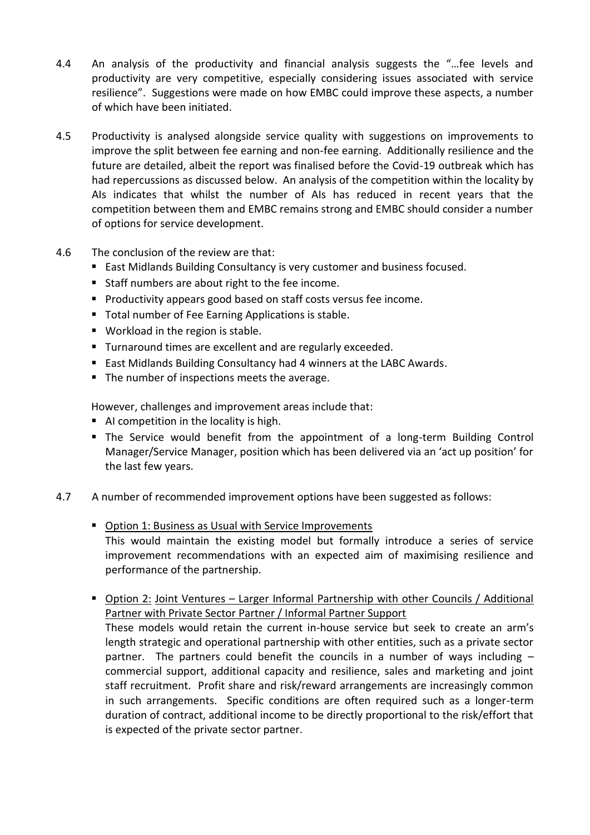- 4.4 An analysis of the productivity and financial analysis suggests the "…fee levels and productivity are very competitive, especially considering issues associated with service resilience". Suggestions were made on how EMBC could improve these aspects, a number of which have been initiated.
- 4.5 Productivity is analysed alongside service quality with suggestions on improvements to improve the split between fee earning and non-fee earning. Additionally resilience and the future are detailed, albeit the report was finalised before the Covid-19 outbreak which has had repercussions as discussed below. An analysis of the competition within the locality by AIs indicates that whilst the number of AIs has reduced in recent years that the competition between them and EMBC remains strong and EMBC should consider a number of options for service development.
- 4.6 The conclusion of the review are that:
	- East Midlands Building Consultancy is very customer and business focused.
	- Staff numbers are about right to the fee income.
	- **Productivity appears good based on staff costs versus fee income.**
	- **Total number of Fee Earning Applications is stable.**
	- Workload in the region is stable.
	- **Turnaround times are excellent and are regularly exceeded.**
	- East Midlands Building Consultancy had 4 winners at the LABC Awards.
	- The number of inspections meets the average.

However, challenges and improvement areas include that:

- AI competition in the locality is high.
- The Service would benefit from the appointment of a long-term Building Control Manager/Service Manager, position which has been delivered via an 'act up position' for the last few years.
- 4.7 A number of recommended improvement options have been suggested as follows:
	- Option 1: Business as Usual with Service Improvements This would maintain the existing model but formally introduce a series of service improvement recommendations with an expected aim of maximising resilience and performance of the partnership.
	- Option 2: Joint Ventures Larger Informal Partnership with other Councils / Additional Partner with Private Sector Partner / Informal Partner Support

These models would retain the current in-house service but seek to create an arm's length strategic and operational partnership with other entities, such as a private sector partner. The partners could benefit the councils in a number of ways including  $$ commercial support, additional capacity and resilience, sales and marketing and joint staff recruitment. Profit share and risk/reward arrangements are increasingly common in such arrangements. Specific conditions are often required such as a longer-term duration of contract, additional income to be directly proportional to the risk/effort that is expected of the private sector partner.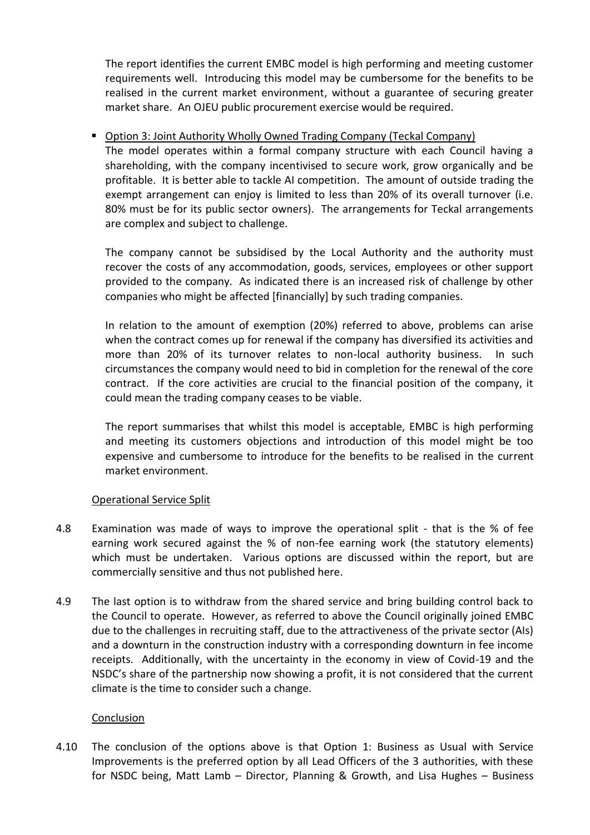The report identifies the current EMBC model is high performing and meeting customer requirements well. Introducing this model may be cumbersome for the benefits to be realised in the current market environment, without a guarantee of securing greater market share. An OJEU public procurement exercise would be required.

# Option 3: Joint Authority Wholly Owned Trading Company (Teckal Company)

The model operates within a formal company structure with each Council having a shareholding, with the company incentivised to secure work, grow organically and be profitable. It is better able to tackle AI competition. The amount of outside trading the exempt arrangement can enjoy is limited to less than 20% of its overall turnover (i.e. 80% must be for its public sector owners). The arrangements for Teckal arrangements are complex and subject to challenge.

The company cannot be subsidised by the Local Authority and the authority must recover the costs of any accommodation, goods, services, employees or other support provided to the company. As indicated there is an increased risk of challenge by other companies who might be affected [financially] by such trading companies.

In relation to the amount of exemption (20%) referred to above, problems can arise when the contract comes up for renewal if the company has diversified its activities and more than 20% of its turnover relates to non-local authority business. In such circumstances the company would need to bid in completion for the renewal of the core contract. If the core activities are crucial to the financial position of the company, it could mean the trading company ceases to be viable.

The report summarises that whilst this model is acceptable, EMBC is high performing and meeting its customers objections and introduction of this model might be too expensive and cumbersome to introduce for the benefits to be realised in the current market environment.

#### Operational Service Split

- 4.8 Examination was made of ways to improve the operational split that is the % of fee earning work secured against the % of non-fee earning work (the statutory elements) which must be undertaken. Various options are discussed within the report, but are commercially sensitive and thus not published here.
- 4.9 The last option is to withdraw from the shared service and bring building control back to the Council to operate. However, as referred to above the Council originally joined EMBC due to the challenges in recruiting staff, due to the attractiveness of the private sector (AIs) and a downturn in the construction industry with a corresponding downturn in fee income receipts. Additionally, with the uncertainty in the economy in view of Covid-19 and the NSDC's share of the partnership now showing a profit, it is not considered that the current climate is the time to consider such a change.

#### Conclusion

4.10 The conclusion of the options above is that Option 1: Business as Usual with Service Improvements is the preferred option by all Lead Officers of the 3 authorities, with these for NSDC being, Matt Lamb – Director, Planning & Growth, and Lisa Hughes – Business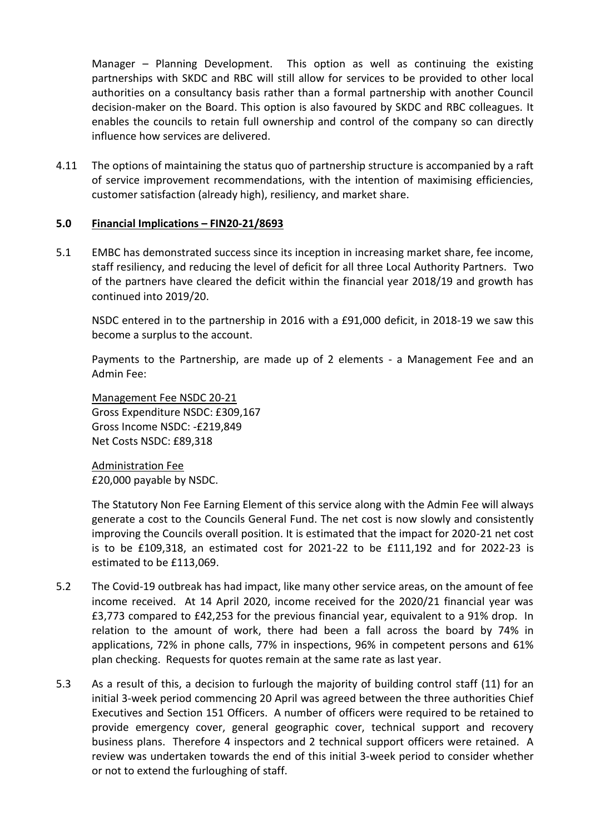Manager – Planning Development. This option as well as continuing the existing partnerships with SKDC and RBC will still allow for services to be provided to other local authorities on a consultancy basis rather than a formal partnership with another Council decision-maker on the Board. This option is also favoured by SKDC and RBC colleagues. It enables the councils to retain full ownership and control of the company so can directly influence how services are delivered.

4.11 The options of maintaining the status quo of partnership structure is accompanied by a raft of service improvement recommendations, with the intention of maximising efficiencies, customer satisfaction (already high), resiliency, and market share.

### **5.0 Financial Implications – FIN20-21/8693**

5.1 EMBC has demonstrated success since its inception in increasing market share, fee income, staff resiliency, and reducing the level of deficit for all three Local Authority Partners. Two of the partners have cleared the deficit within the financial year 2018/19 and growth has continued into 2019/20.

NSDC entered in to the partnership in 2016 with a £91,000 deficit, in 2018-19 we saw this become a surplus to the account.

Payments to the Partnership, are made up of 2 elements - a Management Fee and an Admin Fee:

Management Fee NSDC 20-21 Gross Expenditure NSDC: £309,167 Gross Income NSDC: -£219,849 Net Costs NSDC: £89,318

Administration Fee £20,000 payable by NSDC.

The Statutory Non Fee Earning Element of this service along with the Admin Fee will always generate a cost to the Councils General Fund. The net cost is now slowly and consistently improving the Councils overall position. It is estimated that the impact for 2020-21 net cost is to be £109,318, an estimated cost for 2021-22 to be £111,192 and for 2022-23 is estimated to be £113,069.

- 5.2 The Covid-19 outbreak has had impact, like many other service areas, on the amount of fee income received. At 14 April 2020, income received for the 2020/21 financial year was £3,773 compared to £42,253 for the previous financial year, equivalent to a 91% drop. In relation to the amount of work, there had been a fall across the board by 74% in applications, 72% in phone calls, 77% in inspections, 96% in competent persons and 61% plan checking. Requests for quotes remain at the same rate as last year.
- 5.3 As a result of this, a decision to furlough the majority of building control staff (11) for an initial 3-week period commencing 20 April was agreed between the three authorities Chief Executives and Section 151 Officers. A number of officers were required to be retained to provide emergency cover, general geographic cover, technical support and recovery business plans. Therefore 4 inspectors and 2 technical support officers were retained. A review was undertaken towards the end of this initial 3-week period to consider whether or not to extend the furloughing of staff.